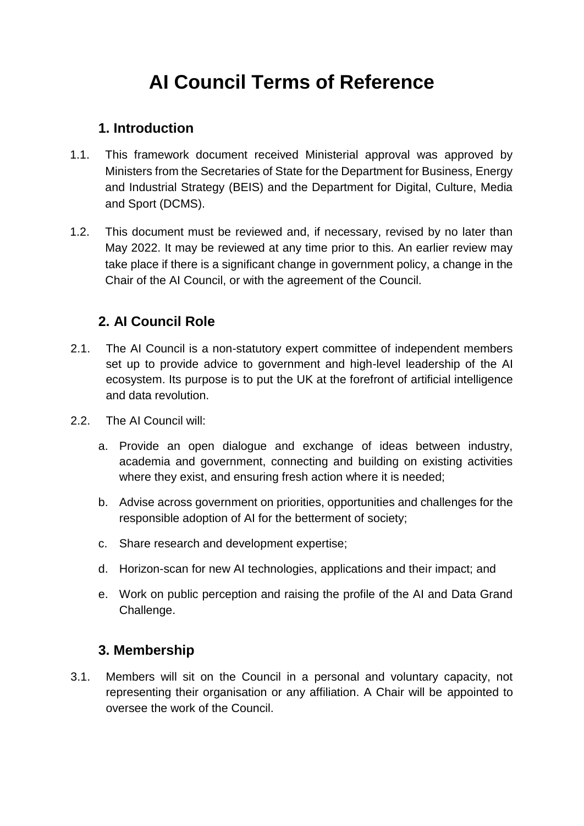# **AI Council Terms of Reference**

#### **1. Introduction**

- 1.1. This framework document received Ministerial approval was approved by Ministers from the Secretaries of State for the Department for Business, Energy and Industrial Strategy (BEIS) and the Department for Digital, Culture, Media and Sport (DCMS).
- 1.2. This document must be reviewed and, if necessary, revised by no later than May 2022. It may be reviewed at any time prior to this. An earlier review may take place if there is a significant change in government policy, a change in the Chair of the AI Council, or with the agreement of the Council.

#### **2. AI Council Role**

- 2.1. The AI Council is a non-statutory expert committee of independent members set up to provide advice to government and high-level leadership of the AI ecosystem. Its purpose is to put the UK at the forefront of artificial intelligence and data revolution.
- 2.2. The AI Council will:
	- a. Provide an open dialogue and exchange of ideas between industry, academia and government, connecting and building on existing activities where they exist, and ensuring fresh action where it is needed;
	- b. Advise across government on priorities, opportunities and challenges for the responsible adoption of AI for the betterment of society;
	- c. Share research and development expertise;
	- d. Horizon-scan for new AI technologies, applications and their impact; and
	- e. Work on public perception and raising the profile of the AI and Data Grand Challenge.

#### **3. Membership**

3.1. Members will sit on the Council in a personal and voluntary capacity, not representing their organisation or any affiliation. A Chair will be appointed to oversee the work of the Council.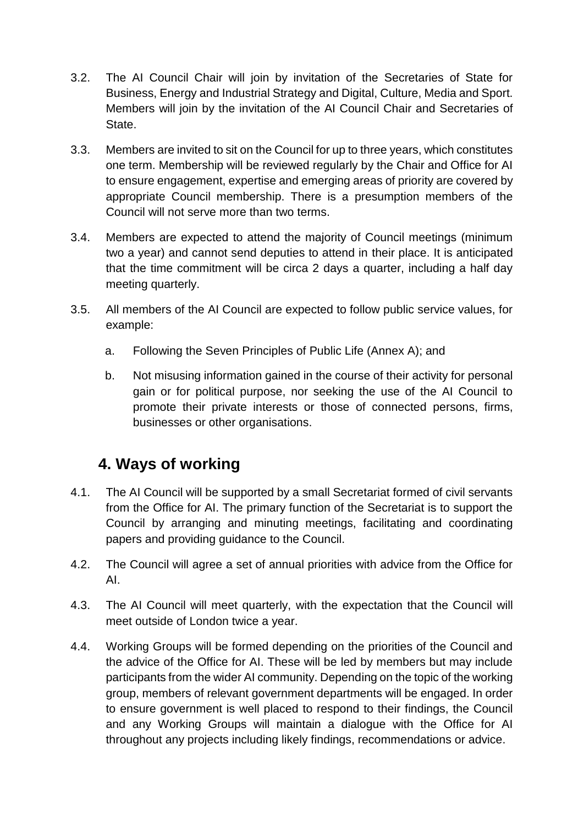- 3.2. The AI Council Chair will join by invitation of the Secretaries of State for Business, Energy and Industrial Strategy and Digital, Culture, Media and Sport. Members will join by the invitation of the AI Council Chair and Secretaries of State.
- 3.3. Members are invited to sit on the Council for up to three years, which constitutes one term. Membership will be reviewed regularly by the Chair and Office for AI to ensure engagement, expertise and emerging areas of priority are covered by appropriate Council membership. There is a presumption members of the Council will not serve more than two terms.
- 3.4. Members are expected to attend the majority of Council meetings (minimum two a year) and cannot send deputies to attend in their place. It is anticipated that the time commitment will be circa 2 days a quarter, including a half day meeting quarterly.
- 3.5. All members of the AI Council are expected to follow public service values, for example:
	- a. Following the Seven Principles of Public Life (Annex A); and
	- b. Not misusing information gained in the course of their activity for personal gain or for political purpose, nor seeking the use of the AI Council to promote their private interests or those of connected persons, firms, businesses or other organisations.

## **4. Ways of working**

- 4.1. The AI Council will be supported by a small Secretariat formed of civil servants from the Office for AI. The primary function of the Secretariat is to support the Council by arranging and minuting meetings, facilitating and coordinating papers and providing guidance to the Council.
- 4.2. The Council will agree a set of annual priorities with advice from the Office for AI.
- 4.3. The AI Council will meet quarterly, with the expectation that the Council will meet outside of London twice a year.
- 4.4. Working Groups will be formed depending on the priorities of the Council and the advice of the Office for AI. These will be led by members but may include participants from the wider AI community. Depending on the topic of the working group, members of relevant government departments will be engaged. In order to ensure government is well placed to respond to their findings, the Council and any Working Groups will maintain a dialogue with the Office for AI throughout any projects including likely findings, recommendations or advice.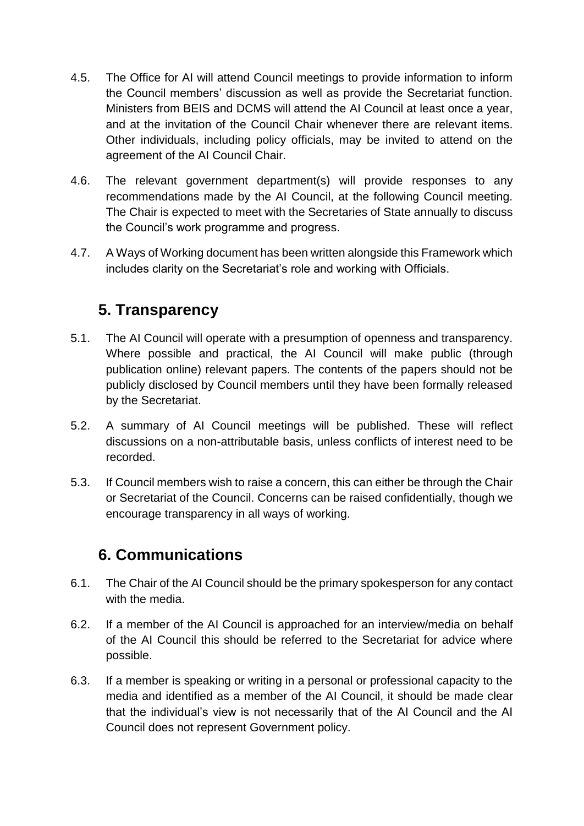- 4.5. The Office for AI will attend Council meetings to provide information to inform the Council members' discussion as well as provide the Secretariat function. Ministers from BEIS and DCMS will attend the AI Council at least once a year, and at the invitation of the Council Chair whenever there are relevant items. Other individuals, including policy officials, may be invited to attend on the agreement of the AI Council Chair.
- 4.6. The relevant government department(s) will provide responses to any recommendations made by the AI Council, at the following Council meeting. The Chair is expected to meet with the Secretaries of State annually to discuss the Council's work programme and progress.
- 4.7. A Ways of Working document has been written alongside this Framework which includes clarity on the Secretariat's role and working with Officials.

## **5. Transparency**

- 5.1. The AI Council will operate with a presumption of openness and transparency. Where possible and practical, the AI Council will make public (through publication online) relevant papers. The contents of the papers should not be publicly disclosed by Council members until they have been formally released by the Secretariat.
- 5.2. A summary of AI Council meetings will be published. These will reflect discussions on a non-attributable basis, unless conflicts of interest need to be recorded.
- 5.3. If Council members wish to raise a concern, this can either be through the Chair or Secretariat of the Council. Concerns can be raised confidentially, though we encourage transparency in all ways of working.

## **6. Communications**

- 6.1. The Chair of the AI Council should be the primary spokesperson for any contact with the media.
- 6.2. If a member of the AI Council is approached for an interview/media on behalf of the AI Council this should be referred to the Secretariat for advice where possible.
- 6.3. If a member is speaking or writing in a personal or professional capacity to the media and identified as a member of the AI Council, it should be made clear that the individual's view is not necessarily that of the AI Council and the AI Council does not represent Government policy.